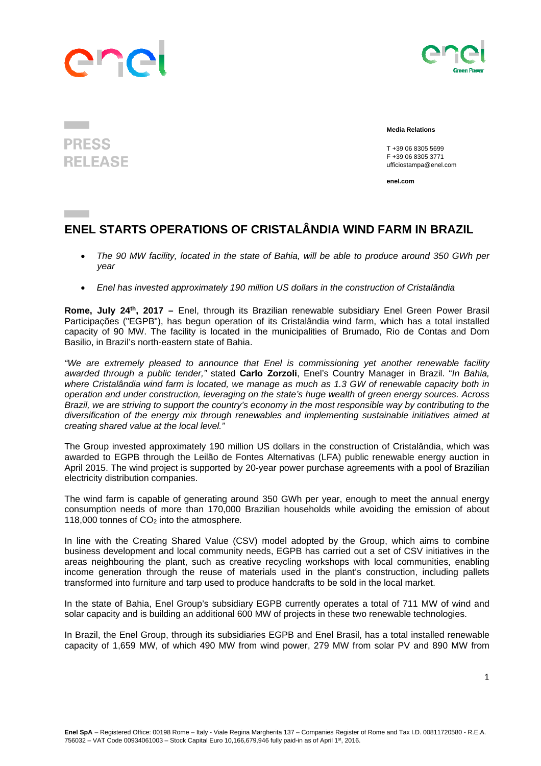## ane



## **PRESS RELEASE**

 **Media Relations** 

 T +39 06 8305 5699 F +39 06 8305 3771 ufficiostampa@enel.com

**enel.com**

## **ENEL STARTS OPERATIONS OF CRISTALÂNDIA WIND FARM IN BRAZIL**

- *The 90 MW facility, located in the state of Bahia, will be able to produce around 350 GWh per year*
- *Enel has invested approximately 190 million US dollars in the construction of Cristalândia*

**Rome, July 24th, 2017 –** Enel, through its Brazilian renewable subsidiary Enel Green Power Brasil Participações ("EGPB"), has begun operation of its Cristalândia wind farm, which has a total installed capacity of 90 MW. The facility is located in the municipalities of Brumado, Rio de Contas and Dom Basilio, in Brazil's north-eastern state of Bahia.

*"We are extremely pleased to announce that Enel is commissioning yet another renewable facility awarded through a public tender,"* stated **Carlo Zorzoli**, Enel's Country Manager in Brazil. "*In Bahia, where Cristalândia wind farm is located, we manage as much as 1.3 GW of renewable capacity both in operation and under construction, leveraging on the state's huge wealth of green energy sources. Across Brazil, we are striving to support the country's economy in the most responsible way by contributing to the diversification of the energy mix through renewables and implementing sustainable initiatives aimed at creating shared value at the local level."*

The Group invested approximately 190 million US dollars in the construction of Cristalândia, which was awarded to EGPB through the Leilão de Fontes Alternativas (LFA) public renewable energy auction in April 2015. The wind project is supported by 20-year power purchase agreements with a pool of Brazilian electricity distribution companies.

The wind farm is capable of generating around 350 GWh per year, enough to meet the annual energy consumption needs of more than 170,000 Brazilian households while avoiding the emission of about 118,000 tonnes of CO2 into the atmosphere*.* 

In line with the Creating Shared Value (CSV) model adopted by the Group, which aims to combine business development and local community needs, EGPB has carried out a set of CSV initiatives in the areas neighbouring the plant, such as creative recycling workshops with local communities, enabling income generation through the reuse of materials used in the plant's construction, including pallets transformed into furniture and tarp used to produce handcrafts to be sold in the local market.

In the state of Bahia, Enel Group's subsidiary EGPB currently operates a total of 711 MW of wind and solar capacity and is building an additional 600 MW of projects in these two renewable technologies.

In Brazil, the Enel Group, through its subsidiaries EGPB and Enel Brasil, has a total installed renewable capacity of 1,659 MW, of which 490 MW from wind power, 279 MW from solar PV and 890 MW from